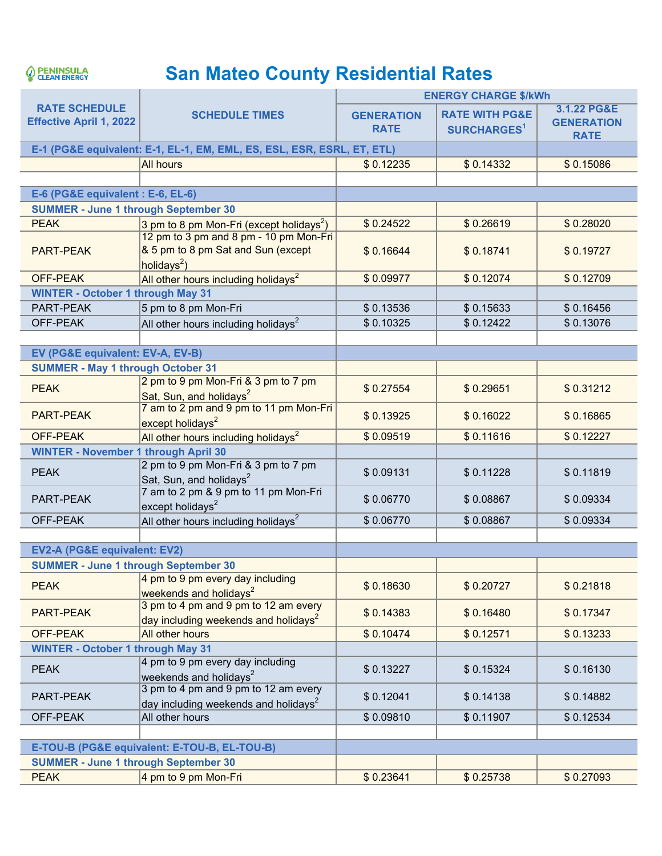

## **San Mateo County Residential Rates**

|                                                                        | <b>SCHEDULE TIMES</b>                                                                          | <b>ENERGY CHARGE \$/kWh</b>      |                                                      |                                                 |  |
|------------------------------------------------------------------------|------------------------------------------------------------------------------------------------|----------------------------------|------------------------------------------------------|-------------------------------------------------|--|
| <b>RATE SCHEDULE</b><br><b>Effective April 1, 2022</b>                 |                                                                                                | <b>GENERATION</b><br><b>RATE</b> | <b>RATE WITH PG&amp;E</b><br>SURCHARGES <sup>1</sup> | 3.1.22 PG&E<br><b>GENERATION</b><br><b>RATE</b> |  |
| E-1 (PG&E equivalent: E-1, EL-1, EM, EML, ES, ESL, ESR, ESRL, ET, ETL) |                                                                                                |                                  |                                                      |                                                 |  |
|                                                                        | <b>All hours</b>                                                                               | \$0.12235                        | \$0.14332                                            | \$0.15086                                       |  |
|                                                                        |                                                                                                |                                  |                                                      |                                                 |  |
| E-6 (PG&E equivalent : E-6, EL-6)                                      |                                                                                                |                                  |                                                      |                                                 |  |
| <b>SUMMER - June 1 through September 30</b>                            |                                                                                                |                                  |                                                      |                                                 |  |
| <b>PEAK</b>                                                            | 3 pm to 8 pm Mon-Fri (except holidays <sup>2</sup> )                                           | \$0.24522                        | \$0.26619                                            | \$0.28020                                       |  |
| <b>PART-PEAK</b>                                                       | 12 pm to 3 pm and 8 pm - 10 pm Mon-Fri<br>& 5 pm to 8 pm Sat and Sun (except<br>holidays $2$ ) | \$0.16644                        | \$0.18741                                            | \$0.19727                                       |  |
| <b>OFF-PEAK</b>                                                        | All other hours including holidays <sup>2</sup>                                                | \$0.09977                        | \$0.12074                                            | \$0.12709                                       |  |
| <b>WINTER - October 1 through May 31</b>                               |                                                                                                |                                  |                                                      |                                                 |  |
| PART-PEAK                                                              | 5 pm to 8 pm Mon-Fri                                                                           | \$0.13536                        | \$0.15633                                            | \$0.16456                                       |  |
| OFF-PEAK                                                               | All other hours including holidays <sup>2</sup>                                                | \$0.10325                        | \$0.12422                                            | \$0.13076                                       |  |
|                                                                        |                                                                                                |                                  |                                                      |                                                 |  |
| EV (PG&E equivalent: EV-A, EV-B)                                       |                                                                                                |                                  |                                                      |                                                 |  |
| <b>SUMMER - May 1 through October 31</b>                               |                                                                                                |                                  |                                                      |                                                 |  |
| <b>PEAK</b>                                                            | 2 pm to 9 pm Mon-Fri & 3 pm to 7 pm<br>Sat, Sun, and holidays <sup>2</sup>                     | \$0.27554                        | \$0.29651                                            | \$0.31212                                       |  |
| <b>PART-PEAK</b>                                                       | 7 am to 2 pm and 9 pm to 11 pm Mon-Fri<br>except holidays <sup>2</sup>                         | \$0.13925                        | \$0.16022                                            | \$0.16865                                       |  |
| <b>OFF-PEAK</b>                                                        | All other hours including holidays <sup>2</sup>                                                | \$0.09519                        | \$0.11616                                            | \$0.12227                                       |  |
| <b>WINTER - November 1 through April 30</b>                            |                                                                                                |                                  |                                                      |                                                 |  |
| <b>PEAK</b>                                                            | 2 pm to 9 pm Mon-Fri & 3 pm to 7 pm<br>Sat, Sun, and holidays <sup>2</sup>                     | \$0.09131                        | \$0.11228                                            | \$0.11819                                       |  |
| PART-PEAK                                                              | 7 am to 2 pm & 9 pm to 11 pm Mon-Fri<br>except holidays <sup>2</sup>                           | \$0.06770                        | \$0.08867                                            | \$0.09334                                       |  |
| OFF-PEAK                                                               | All other hours including holidays <sup>2</sup>                                                | \$0.06770                        | \$0.08867                                            | \$0.09334                                       |  |
|                                                                        |                                                                                                |                                  |                                                      |                                                 |  |
| EV2-A (PG&E equivalent: EV2)                                           |                                                                                                |                                  |                                                      |                                                 |  |
| <b>SUMMER - June 1 through September 30</b>                            |                                                                                                |                                  |                                                      |                                                 |  |
| <b>PEAK</b>                                                            | 4 pm to 9 pm every day including<br>weekends and holidays <sup>2</sup>                         | \$0.18630                        | \$0.20727                                            | \$0.21818                                       |  |
| PART-PEAK                                                              | 3 pm to 4 pm and 9 pm to 12 am every<br>day including weekends and holidays <sup>2</sup>       | \$0.14383                        | \$0.16480                                            | \$0.17347                                       |  |
| <b>OFF-PEAK</b>                                                        | All other hours                                                                                | \$0.10474                        | \$0.12571                                            | \$0.13233                                       |  |
| <b>WINTER - October 1 through May 31</b>                               |                                                                                                |                                  |                                                      |                                                 |  |
| <b>PEAK</b>                                                            | 4 pm to 9 pm every day including<br>weekends and holidays <sup>2</sup>                         | \$0.13227                        | \$0.15324                                            | \$0.16130                                       |  |
| PART-PEAK                                                              | 3 pm to 4 pm and 9 pm to 12 am every<br>day including weekends and holidays $^2$               | \$0.12041                        | \$0.14138                                            | \$0.14882                                       |  |
| OFF-PEAK                                                               | All other hours                                                                                | \$0.09810                        | \$0.11907                                            | \$0.12534                                       |  |
|                                                                        |                                                                                                |                                  |                                                      |                                                 |  |
|                                                                        | E-TOU-B (PG&E equivalent: E-TOU-B, EL-TOU-B)                                                   |                                  |                                                      |                                                 |  |
| <b>SUMMER - June 1 through September 30</b>                            |                                                                                                |                                  |                                                      |                                                 |  |
| <b>PEAK</b>                                                            | 4 pm to 9 pm Mon-Fri                                                                           | \$0.23641                        | \$0.25738                                            | \$0.27093                                       |  |
|                                                                        |                                                                                                |                                  |                                                      |                                                 |  |